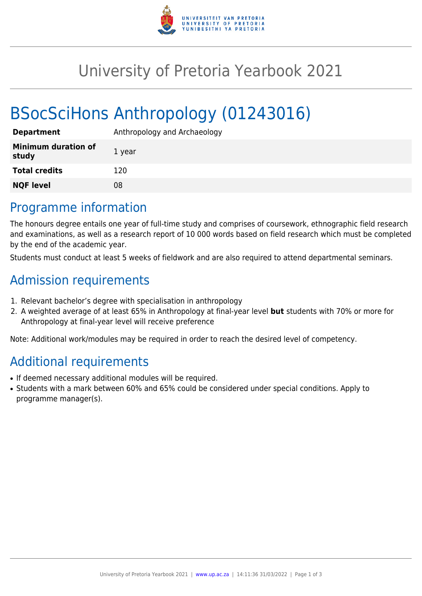

# University of Pretoria Yearbook 2021

# BSocSciHons Anthropology (01243016)

| <b>Department</b>                   | Anthropology and Archaeology |
|-------------------------------------|------------------------------|
| <b>Minimum duration of</b><br>study | 1 year                       |
| <b>Total credits</b>                | 120                          |
| <b>NQF level</b>                    | 08                           |
|                                     |                              |

## Programme information

The honours degree entails one year of full-time study and comprises of coursework, ethnographic field research and examinations, as well as a research report of 10 000 words based on field research which must be completed by the end of the academic year.

Students must conduct at least 5 weeks of fieldwork and are also required to attend departmental seminars.

# Admission requirements

- 1. Relevant bachelor's degree with specialisation in anthropology
- 2. A weighted average of at least 65% in Anthropology at final-year level **but** students with 70% or more for Anthropology at final-year level will receive preference

Note: Additional work/modules may be required in order to reach the desired level of competency.

# Additional requirements

- If deemed necessary additional modules will be required.
- Students with a mark between 60% and 65% could be considered under special conditions. Apply to programme manager(s).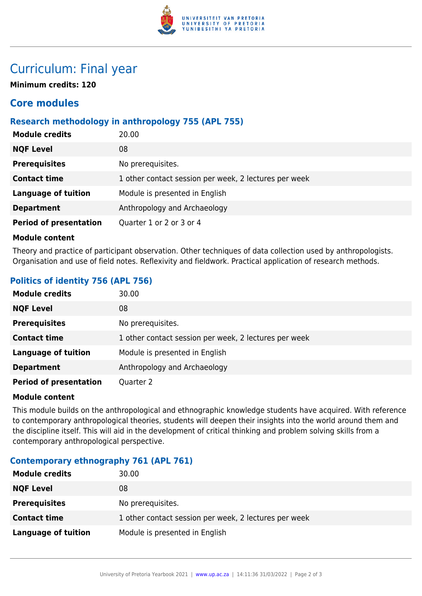

## Curriculum: Final year

**Minimum credits: 120**

### **Core modules**

### **Research methodology in anthropology 755 (APL 755)**

| <b>Module credits</b>         | 20.00                                                 |
|-------------------------------|-------------------------------------------------------|
| <b>NQF Level</b>              | 08                                                    |
| <b>Prerequisites</b>          | No prerequisites.                                     |
| <b>Contact time</b>           | 1 other contact session per week, 2 lectures per week |
| <b>Language of tuition</b>    | Module is presented in English                        |
| <b>Department</b>             | Anthropology and Archaeology                          |
| <b>Period of presentation</b> | Quarter 1 or 2 or 3 or 4                              |

#### **Module content**

Theory and practice of participant observation. Other techniques of data collection used by anthropologists. Organisation and use of field notes. Reflexivity and fieldwork. Practical application of research methods.

### **Politics of identity 756 (APL 756)**

| <b>Module credits</b>         | 30.00                                                 |
|-------------------------------|-------------------------------------------------------|
| <b>NQF Level</b>              | 08                                                    |
| <b>Prerequisites</b>          | No prerequisites.                                     |
| <b>Contact time</b>           | 1 other contact session per week, 2 lectures per week |
| <b>Language of tuition</b>    | Module is presented in English                        |
| <b>Department</b>             | Anthropology and Archaeology                          |
| <b>Period of presentation</b> | Quarter 2                                             |

#### **Module content**

This module builds on the anthropological and ethnographic knowledge students have acquired. With reference to contemporary anthropological theories, students will deepen their insights into the world around them and the discipline itself. This will aid in the development of critical thinking and problem solving skills from a contemporary anthropological perspective.

### **Contemporary ethnography 761 (APL 761)**

| <b>Module credits</b> | 30.00                                                 |
|-----------------------|-------------------------------------------------------|
| <b>NQF Level</b>      | 08                                                    |
| <b>Prerequisites</b>  | No prerequisites.                                     |
| <b>Contact time</b>   | 1 other contact session per week, 2 lectures per week |
| Language of tuition   | Module is presented in English                        |